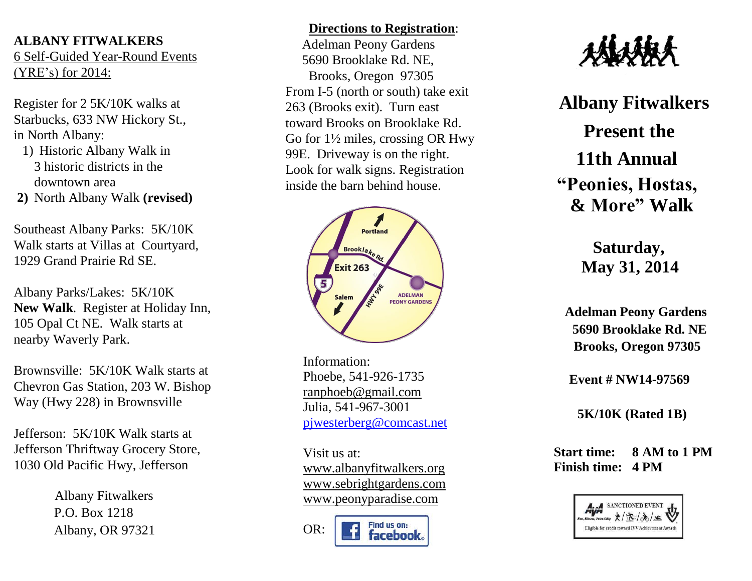### **ALBANY FITWALKERS** 6 Self-Guided Year-Round Events (YRE's) for 2014:

Register for 2 5K/10K walks at Starbucks, 633 NW Hickory St. , in North Albany:

- 1) Historic Albany Walk in 3 historic districts in the downtown area
- **2)** North Albany Walk **(revised)**

Southeast Albany Parks : 5K/10K Walk starts at Villas at Courtyard, 1929 Grand Prairie Rd SE.

Albany Parks/Lakes: 5K/10K **New Walk**. Register at Holiday Inn, 105 Opal Ct NE. Walk starts at nearby Waverly Park.

Brownsville : 5K/10K Walk starts at Chevron Gas Station, 203 W. Bishop Way (Hwy 228) in Brownsville

Jefferson: 5K/10K Walk starts at Jefferson Thriftway Grocery Store, 1030 Old Pacific Hwy, Jefferson

> Albany Fitwalkers P.O. Box 1218 Albany, OR 97321

# **Directions to Registration** : Adelman Peony Gardens 5690 Brooklake Rd. NE, Brooks, Oregon 97305 From I -5 (north or south) take exit 263 (Brooks exit). Turn east toward Brooks on Brooklake Rd. Go for 1½ miles, crossing OR Hwy 99E. Driveway is on the right. Look for walk signs. Registration inside the barn behind house.



Information: Phoebe, 541-926-1735 [ranphoeb@gmail.com](mailto:ranphoeb@gmail.com) Julia, 541 -967 -3001 [pjwesterberg@comcast.net](mailto:pjwesterberg@comcast.net)

> Visit us at: [www.albanyfitwalkers.org](http://www.albanyfitwalkers.org/) [www.sebrightgardens.com](http://www.sebrightgardens.com/) www.peonyparadise.com

Find us on: OR: facebook.



**Albany Fitwalkers Present the 11th Annual "Peonies, Hostas, & More" Walk** 

> **Saturday, May 31, 2014**

 **Adelman Peony Gardens 5690 Brooklake Rd. NE Brooks, Oregon 97305**

 **Event # NW1 4 -97569**

**5K/10K (Rated 1B)**

 **Start time: 8 AM to 1 PM Finish time: 4 PM**